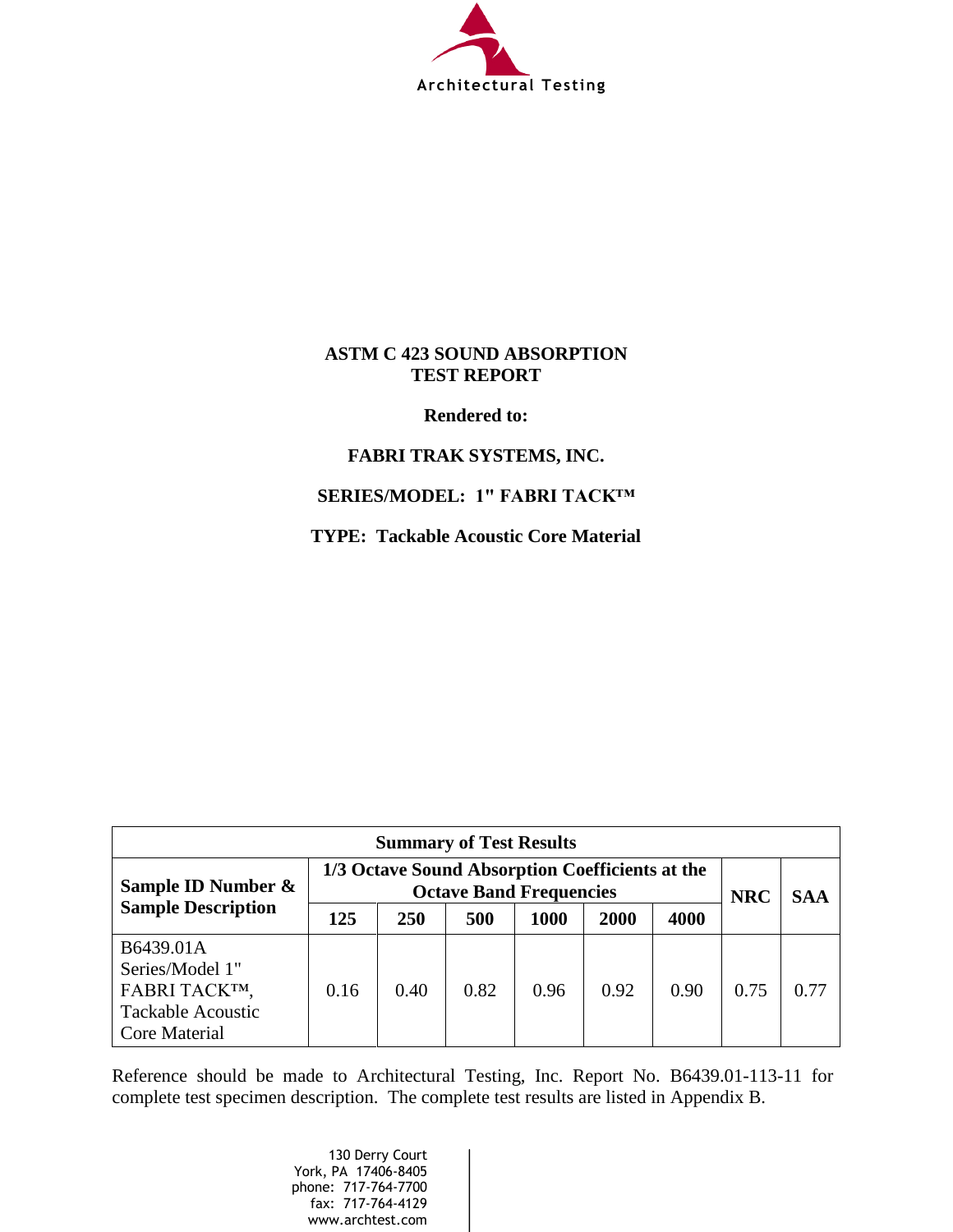

## **ASTM C 423 SOUND ABSORPTION TEST REPORT**

**Rendered to:** 

## **FABRI TRAK SYSTEMS, INC.**

## **SERIES/MODEL: 1" FABRI TACK™**

**TYPE: Tackable Acoustic Core Material**

| <b>Summary of Test Results</b>                                                                    |                                                                                   |            |      |      |            |            |      |      |
|---------------------------------------------------------------------------------------------------|-----------------------------------------------------------------------------------|------------|------|------|------------|------------|------|------|
| Sample ID Number &<br><b>Sample Description</b>                                                   | 1/3 Octave Sound Absorption Coefficients at the<br><b>Octave Band Frequencies</b> |            |      |      | <b>NRC</b> | <b>SAA</b> |      |      |
|                                                                                                   | 125                                                                               | <b>250</b> | 500  | 1000 | 2000       | 4000       |      |      |
| B6439.01A<br>Series/Model 1"<br>FABRI TACKTM,<br><b>Tackable Acoustic</b><br><b>Core Material</b> | 0.16                                                                              | 0.40       | 0.82 | 0.96 | 0.92       | 0.90       | 0.75 | 0.77 |

Reference should be made to Architectural Testing, Inc. Report No. B6439.01-113-11 for complete test specimen description. The complete test results are listed in Appendix B.

> 130 Derry Court York, PA 17406-8405 phone: 717-764-7700 fax: 717-764-4129 www.archtest.com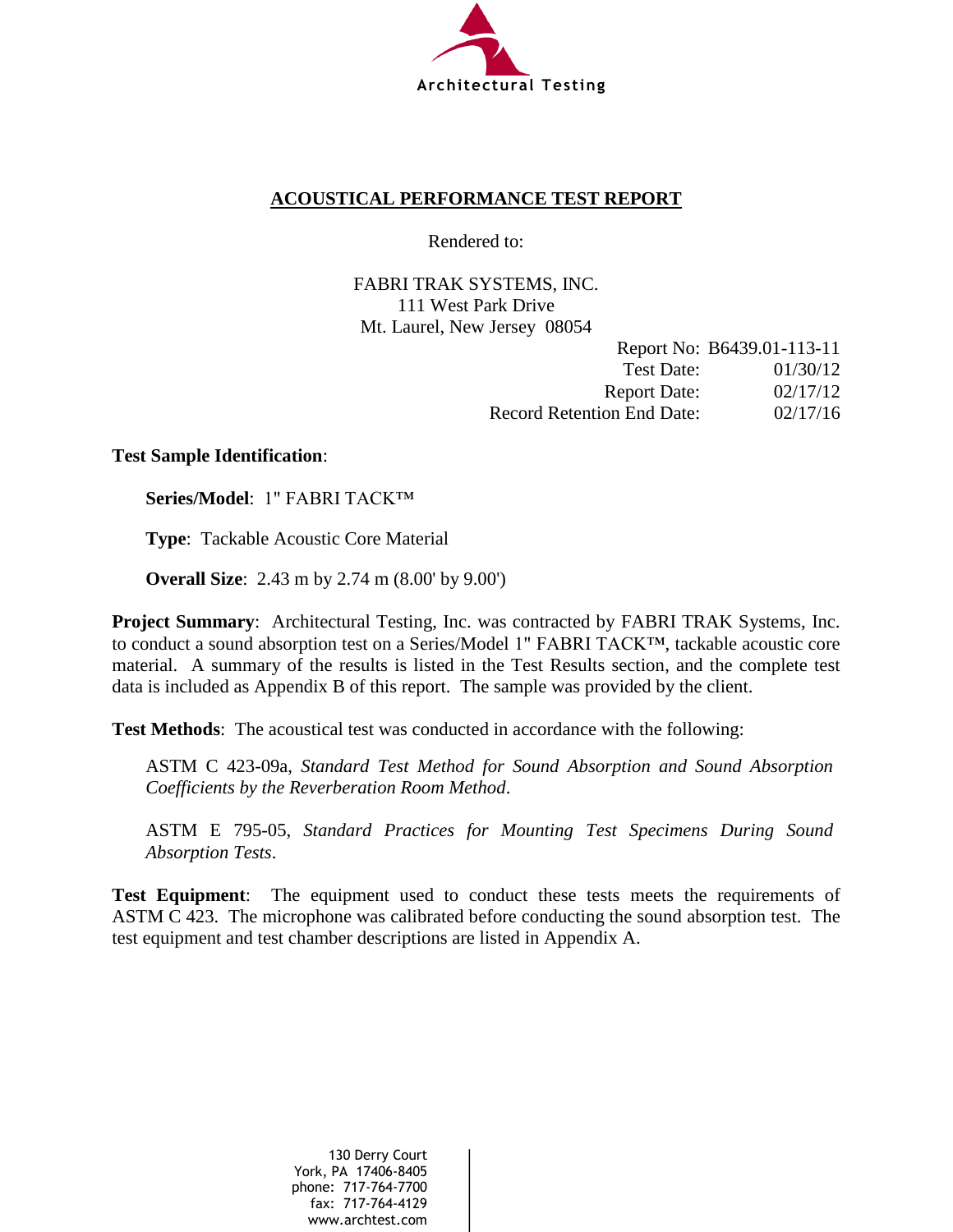

## **ACOUSTICAL PERFORMANCE TEST REPORT**

Rendered to:

FABRI TRAK SYSTEMS, INC. 111 West Park Drive Mt. Laurel, New Jersey 08054

|                                   | Report No: B6439.01-113-11 |
|-----------------------------------|----------------------------|
| Test Date:                        | 01/30/12                   |
| <b>Report Date:</b>               | 02/17/12                   |
| <b>Record Retention End Date:</b> | 02/17/16                   |

## **Test Sample Identification**:

**Series/Model**: 1" FABRI TACK™

**Type**: Tackable Acoustic Core Material

**Overall Size**: 2.43 m by 2.74 m (8.00' by 9.00')

**Project Summary**: Architectural Testing, Inc. was contracted by FABRI TRAK Systems, Inc. to conduct a sound absorption test on a Series/Model 1" FABRI TACK™, tackable acoustic core material. A summary of the results is listed in the Test Results section, and the complete test data is included as Appendix B of this report. The sample was provided by the client.

**Test Methods**: The acoustical test was conducted in accordance with the following:

ASTM C 423-09a, *Standard Test Method for Sound Absorption and Sound Absorption Coefficients by the Reverberation Room Method*.

ASTM E 795-05, *Standard Practices for Mounting Test Specimens During Sound Absorption Tests*.

**Test Equipment**: The equipment used to conduct these tests meets the requirements of ASTM C 423. The microphone was calibrated before conducting the sound absorption test. The test equipment and test chamber descriptions are listed in Appendix A.

> 130 Derry Court York, PA 17406-8405 phone: 717-764-7700 fax: 717-764-4129 www.archtest.com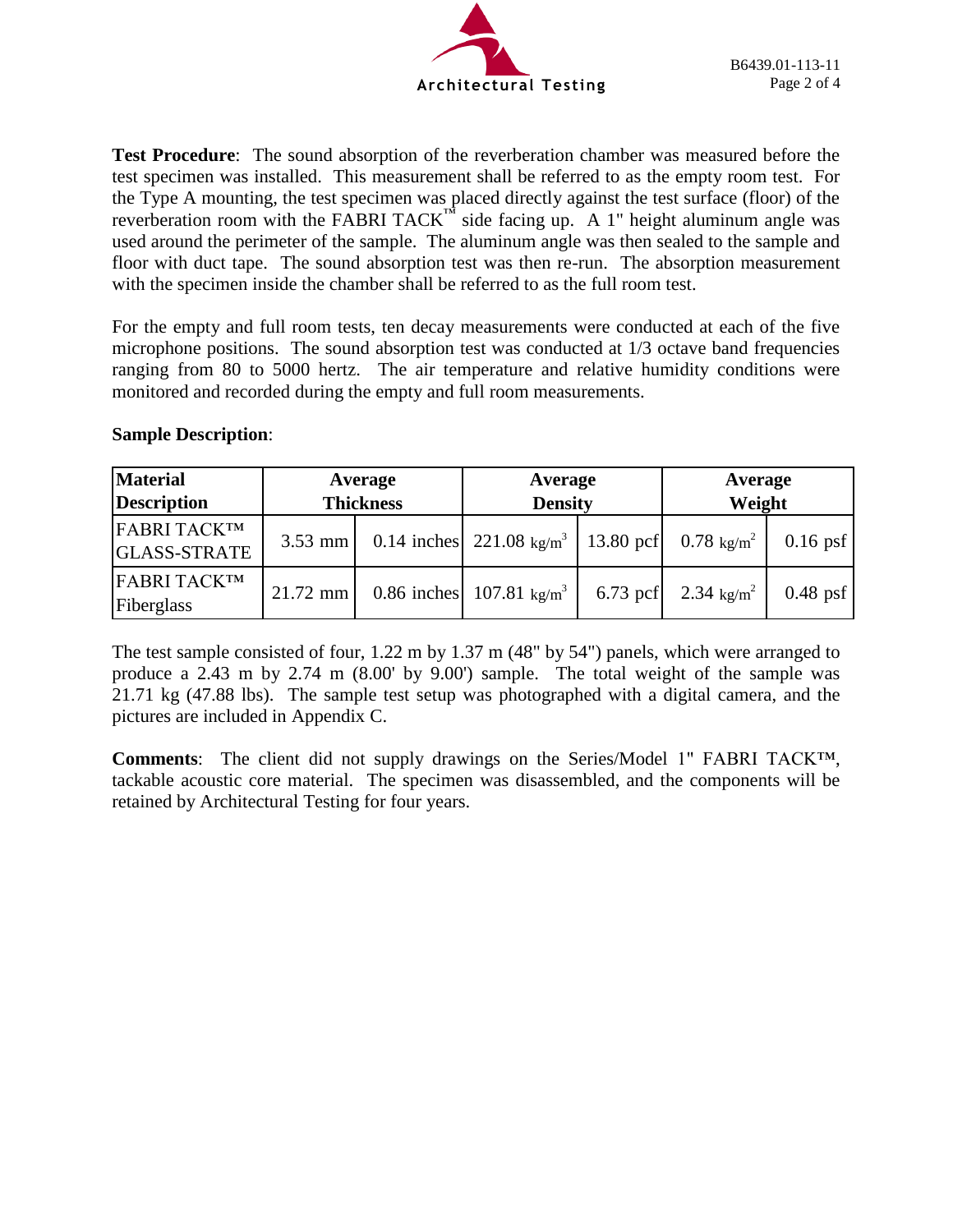

**Test Procedure**: The sound absorption of the reverberation chamber was measured before the test specimen was installed. This measurement shall be referred to as the empty room test. For the Type A mounting, the test specimen was placed directly against the test surface (floor) of the reverberation room with the FABRI TACK<sup>™</sup> side facing up. A 1" height aluminum angle was used around the perimeter of the sample. The aluminum angle was then sealed to the sample and floor with duct tape. The sound absorption test was then re-run. The absorption measurement with the specimen inside the chamber shall be referred to as the full room test.

For the empty and full room tests, ten decay measurements were conducted at each of the five microphone positions. The sound absorption test was conducted at 1/3 octave band frequencies ranging from 80 to 5000 hertz. The air temperature and relative humidity conditions were monitored and recorded during the empty and full room measurements.

# **Sample Description**:

| <b>Material</b><br><b>Description</b> | Average<br><b>Thickness</b> |  | Average<br><b>Density</b>                                                             |            | Average<br>Weight    |            |
|---------------------------------------|-----------------------------|--|---------------------------------------------------------------------------------------|------------|----------------------|------------|
| FABRI TACKTM<br><b>GLASS-STRATE</b>   |                             |  | 3.53 mm   0.14 inches   221.08 kg/m <sup>3</sup>   13.80 pcf   0.78 kg/m <sup>2</sup> |            |                      | $0.16$ psf |
| FABRI TACKTM<br>Fiberglass            | $21.72$ mm                  |  | 0.86 inches 107.81 kg/m <sup>3</sup>                                                  | $6.73$ pcf | 2.34 $\text{kg/m}^2$ | $0.48$ psf |

The test sample consisted of four, 1.22 m by 1.37 m (48" by 54") panels, which were arranged to produce a 2.43 m by 2.74 m (8.00' by 9.00') sample. The total weight of the sample was 21.71 kg (47.88 lbs). The sample test setup was photographed with a digital camera, and the pictures are included in Appendix C.

**Comments**: The client did not supply drawings on the Series/Model 1" FABRI TACK™, tackable acoustic core material. The specimen was disassembled, and the components will be retained by Architectural Testing for four years.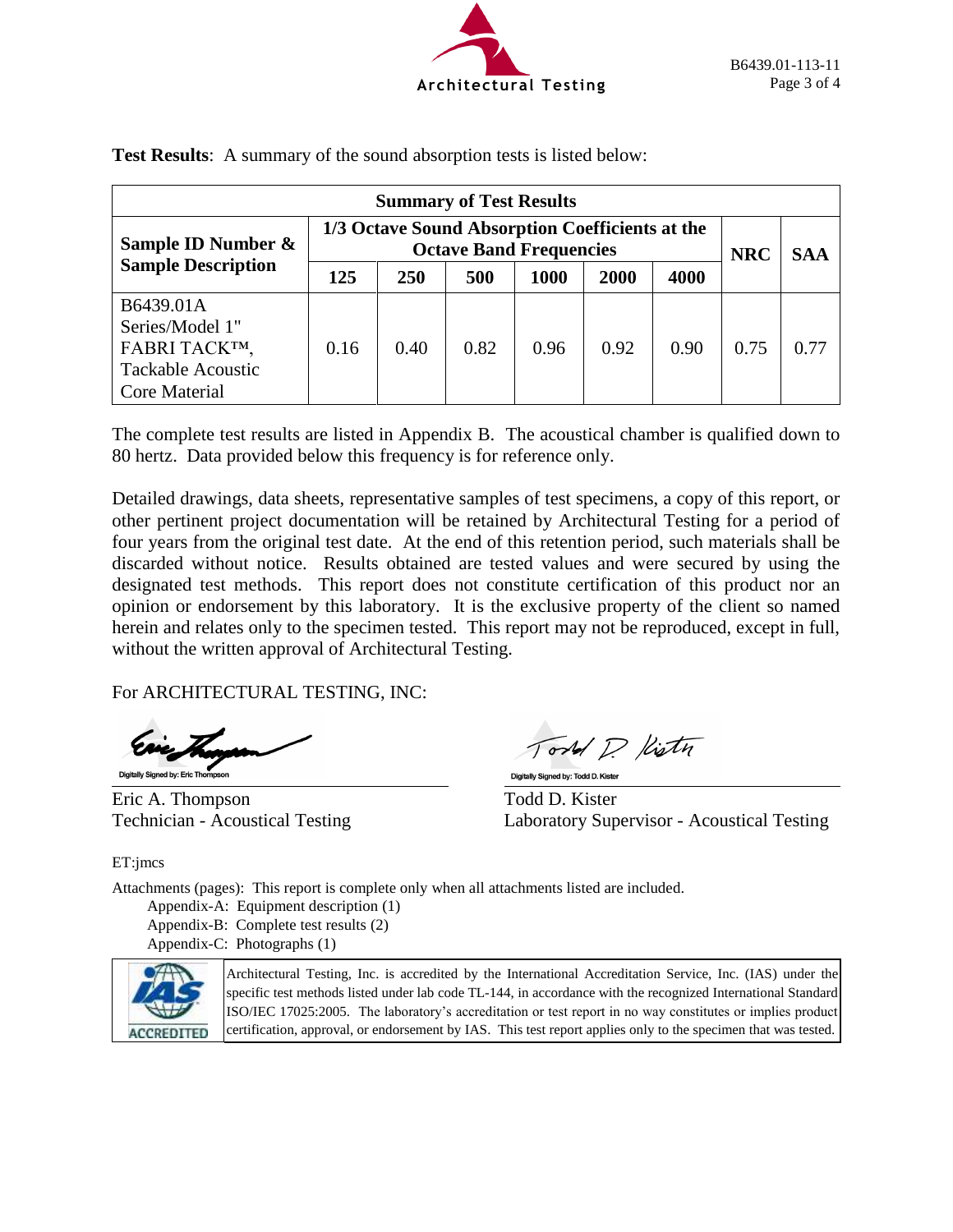

| <b>Summary of Test Results</b>                                                             |                                                                                   |            |      |      |            |            |      |      |
|--------------------------------------------------------------------------------------------|-----------------------------------------------------------------------------------|------------|------|------|------------|------------|------|------|
| Sample ID Number &<br><b>Sample Description</b>                                            | 1/3 Octave Sound Absorption Coefficients at the<br><b>Octave Band Frequencies</b> |            |      |      | <b>NRC</b> | <b>SAA</b> |      |      |
|                                                                                            | 125                                                                               | <b>250</b> | 500  | 1000 | 2000       | 4000       |      |      |
| B6439.01A<br>Series/Model 1"<br>FABRI TACKTM,<br><b>Tackable Acoustic</b><br>Core Material | 0.16                                                                              | 0.40       | 0.82 | 0.96 | 0.92       | 0.90       | 0.75 | 0.77 |

**Test Results**: A summary of the sound absorption tests is listed below:

The complete test results are listed in Appendix B. The acoustical chamber is qualified down to 80 hertz. Data provided below this frequency is for reference only.

Detailed drawings, data sheets, representative samples of test specimens, a copy of this report, or other pertinent project documentation will be retained by Architectural Testing for a period of four years from the original test date. At the end of this retention period, such materials shall be discarded without notice. Results obtained are tested values and were secured by using the designated test methods. This report does not constitute certification of this product nor an opinion or endorsement by this laboratory. It is the exclusive property of the client so named herein and relates only to the specimen tested. This report may not be reproduced, except in full, without the written approval of Architectural Testing.

l,

For ARCHITECTURAL TESTING, INC:

Digitally Signed by: Eric Thompson

Eric A. Thompson Todd D. Kister

ord D Kisty

Digitally Signed by: Todd D. Kister

Technician - Acoustical Testing Laboratory Supervisor - Acoustical Testing

ET:jmcs

Attachments (pages): This report is complete only when all attachments listed are included.

Appendix-A: Equipment description (1) Appendix-B: Complete test results (2) Appendix-C: Photographs (1)



Architectural Testing, Inc. is accredited by the International Accreditation Service, Inc. (IAS) under the specific test methods listed under lab code TL-144, in accordance with the recognized International Standard ISO/IEC 17025:2005. The laboratory's accreditation or test report in no way constitutes or implies product certification, approval, or endorsement by IAS. This test report applies only to the specimen that was tested.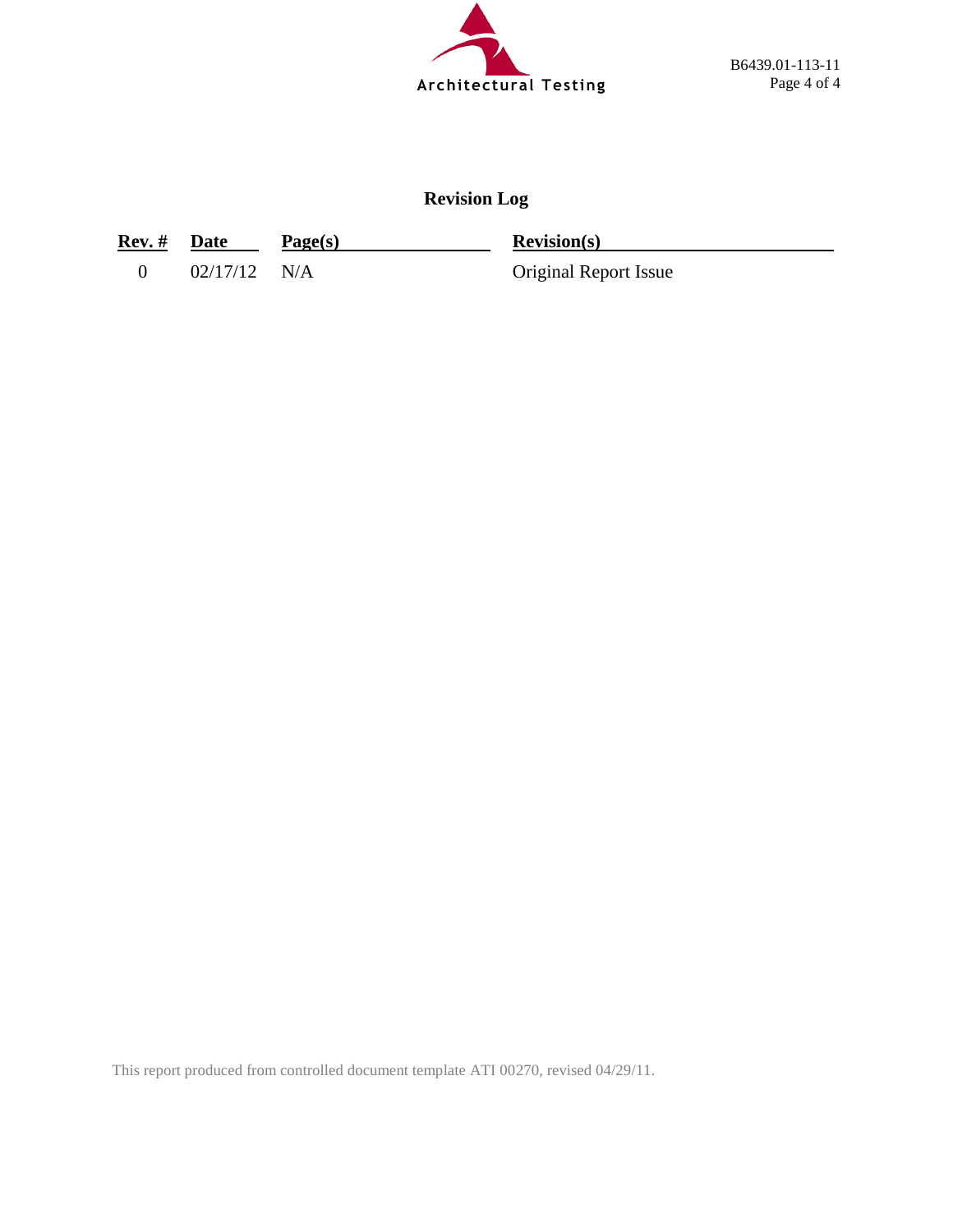

# **Revision Log**

| Rev. # | Date | Page(s) | <b>Revision(s)</b> |
|--------|------|---------|--------------------|
|        |      |         |                    |

0 02/17/12 N/A Original Report Issue

This report produced from controlled document template ATI 00270, revised 04/29/11.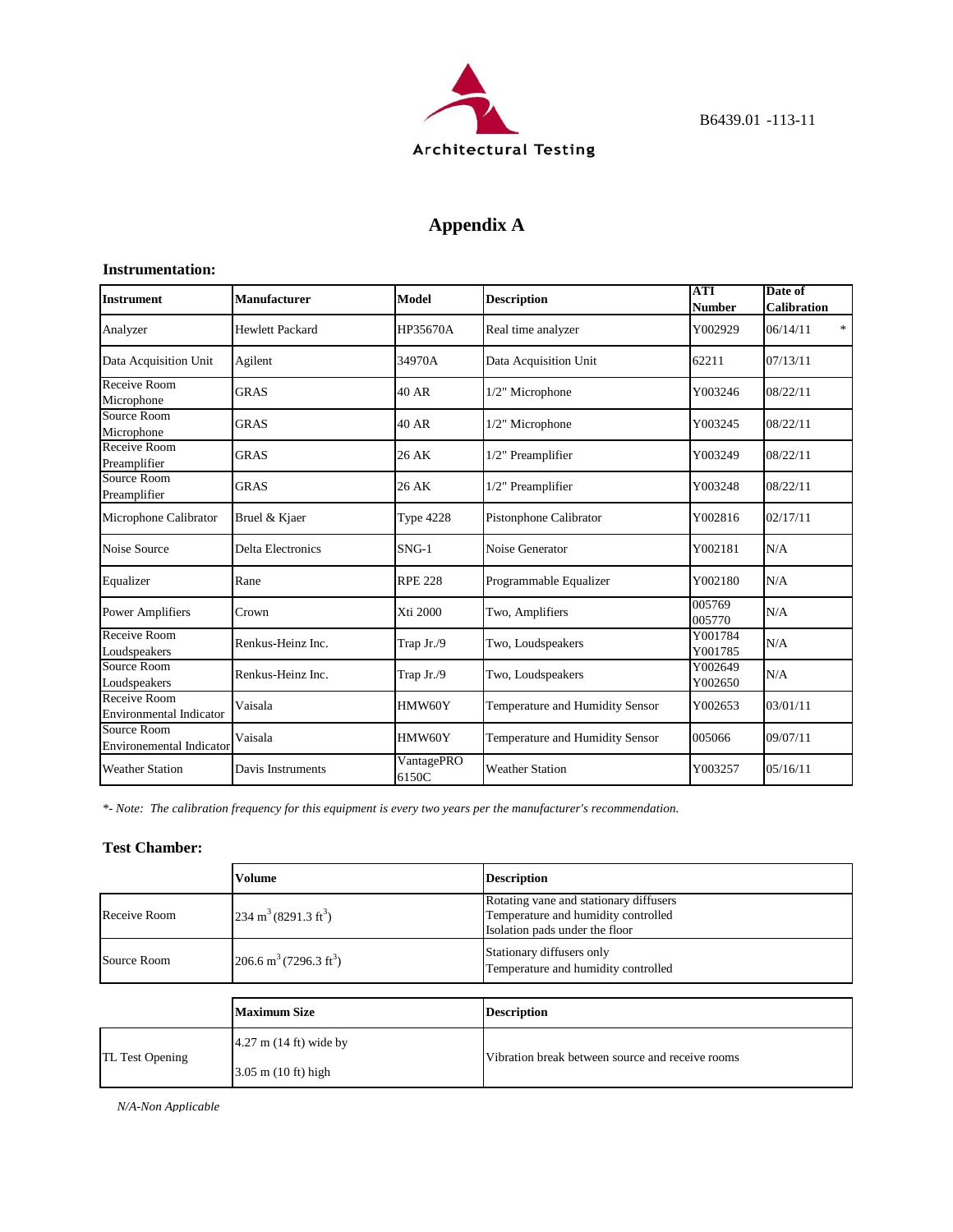

# **Appendix A**

#### **Instrumentation:**

| <b>Instrument</b>                              | <b>Manufacturer</b>      | Model               | <b>Description</b>              | <b>ATI</b><br>Number | Date of<br>Calibration |
|------------------------------------------------|--------------------------|---------------------|---------------------------------|----------------------|------------------------|
| Analyzer                                       | <b>Hewlett Packard</b>   | HP35670A            | Real time analyzer              | Y002929              | $\ast$<br>06/14/11     |
| Data Acquisition Unit                          | Agilent                  | 34970A              | Data Acquisition Unit           | 62211                | 07/13/11               |
| Receive Room<br>Microphone                     | <b>GRAS</b>              | <b>40 AR</b>        | 1/2" Microphone                 | Y003246              | 08/22/11               |
| Source Room<br>Microphone                      | <b>GRAS</b>              | <b>40 AR</b>        | 1/2" Microphone                 | Y003245              | 08/22/11               |
| Receive Room<br>Preamplifier                   | <b>GRAS</b>              | 26 AK               | 1/2" Preamplifier               | Y003249              | 08/22/11               |
| Source Room<br>Preamplifier                    | <b>GRAS</b>              | 26 AK               | 1/2" Preamplifier               | Y003248              | 08/22/11               |
| Microphone Calibrator                          | Bruel & Kjaer            | <b>Type 4228</b>    | Pistonphone Calibrator          | Y002816              | 02/17/11               |
| Noise Source                                   | <b>Delta Electronics</b> | $SNG-1$             | Noise Generator                 | Y002181              | N/A                    |
| Equalizer                                      | Rane                     | <b>RPE 228</b>      | Programmable Equalizer          | Y002180              | N/A                    |
| <b>Power Amplifiers</b>                        | Crown                    | Xti 2000            | Two, Amplifiers                 | 005769<br>005770     | N/A                    |
| Receive Room<br>Loudspeakers                   | Renkus-Heinz Inc.        | Trap Jr./9          | Two, Loudspeakers               | Y001784<br>Y001785   | N/A                    |
| Source Room<br>Loudspeakers                    | Renkus-Heinz Inc.        | Trap Jr./9          | Two, Loudspeakers               | Y002649<br>Y002650   | N/A                    |
| Receive Room<br><b>Environmental Indicator</b> | Vaisala                  | HMW60Y              | Temperature and Humidity Sensor | Y002653              | 03/01/11               |
| Source Room<br><b>Environemental Indicator</b> | Vaisala                  | HMW60Y              | Temperature and Humidity Sensor | 005066               | 09/07/11               |
| <b>Weather Station</b>                         | Davis Instruments        | VantagePRO<br>6150C | <b>Weather Station</b>          | Y003257              | 05/16/11               |

*\*- Note: The calibration frequency for this equipment is every two years per the manufacturer's recommendation.*

### **Test Chamber:**

|                                                               | <b>Volume</b>                      | <b>Description</b>                                                                                              |  |  |
|---------------------------------------------------------------|------------------------------------|-----------------------------------------------------------------------------------------------------------------|--|--|
| $234 \text{ m}^3 (8291.3 \text{ ft}^3)$<br>Receive Room       |                                    | Rotating vane and stationary diffusers<br>Temperature and humidity controlled<br>Isolation pads under the floor |  |  |
| 206.6 m <sup>3</sup> (7296.3 ft <sup>3</sup> )<br>Source Room |                                    | Stationary diffusers only<br>Temperature and humidity controlled                                                |  |  |
|                                                               |                                    |                                                                                                                 |  |  |
|                                                               | <b>Maximum Size</b>                | <b>Description</b>                                                                                              |  |  |
| TL Test Opening                                               | $4.27$ m $(14 \text{ ft})$ wide by | Vibration break between source and receive rooms                                                                |  |  |
|                                                               | $3.05$ m $(10 \text{ ft})$ high    |                                                                                                                 |  |  |

*N/A-Non Applicable*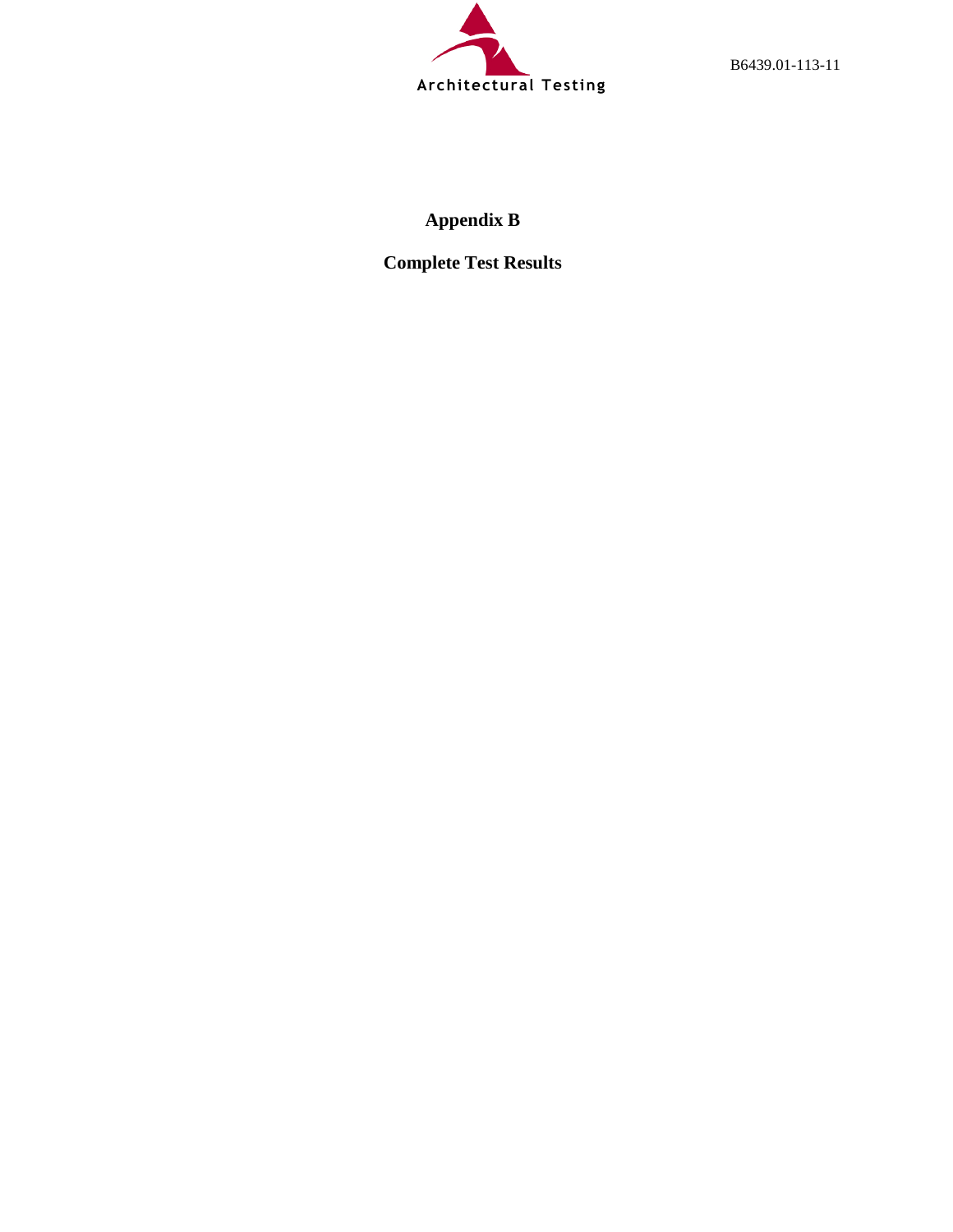

B6439.01-113-11

# **Appendix B**

**Complete Test Results**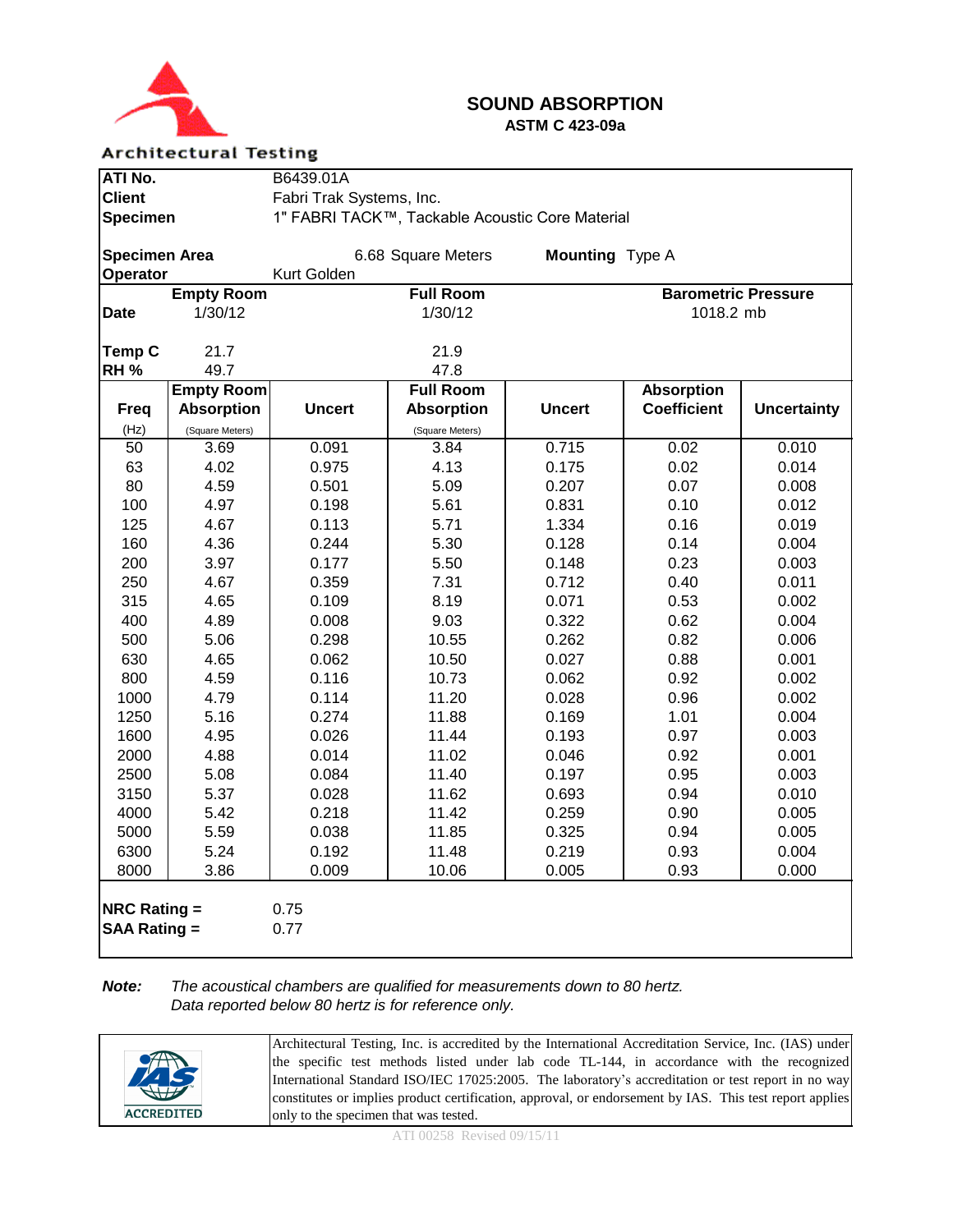

## **SOUND ABSORPTION ASTM C 423-09a**

### **Architectural Testing**

| ATI No.                               |                   | B6439.01A                                       |                    |                 |                            |                    |  |  |
|---------------------------------------|-------------------|-------------------------------------------------|--------------------|-----------------|----------------------------|--------------------|--|--|
| <b>Client</b>                         |                   | Fabri Trak Systems, Inc.                        |                    |                 |                            |                    |  |  |
| <b>Specimen</b>                       |                   | 1" FABRI TACK™, Tackable Acoustic Core Material |                    |                 |                            |                    |  |  |
|                                       |                   |                                                 |                    |                 |                            |                    |  |  |
| <b>Specimen Area</b>                  |                   |                                                 | 6.68 Square Meters | Mounting Type A |                            |                    |  |  |
| Operator                              |                   | Kurt Golden                                     |                    |                 |                            |                    |  |  |
|                                       | <b>Empty Room</b> |                                                 | <b>Full Room</b>   |                 | <b>Barometric Pressure</b> |                    |  |  |
| <b>Date</b>                           | 1/30/12           |                                                 | 1/30/12            |                 | 1018.2 mb                  |                    |  |  |
|                                       |                   |                                                 |                    |                 |                            |                    |  |  |
| <b>Temp C</b>                         | 21.7              |                                                 | 21.9               |                 |                            |                    |  |  |
| <b>RH %</b>                           | 49.7              |                                                 | 47.8               |                 |                            |                    |  |  |
|                                       | <b>Empty Room</b> |                                                 | <b>Full Room</b>   |                 | <b>Absorption</b>          |                    |  |  |
| <b>Freq</b>                           | <b>Absorption</b> | <b>Uncert</b>                                   | <b>Absorption</b>  | <b>Uncert</b>   | <b>Coefficient</b>         | <b>Uncertainty</b> |  |  |
| (Hz)                                  | (Square Meters)   |                                                 | (Square Meters)    |                 |                            |                    |  |  |
| 50                                    | 3.69              | 0.091                                           | 3.84               | 0.715           | 0.02                       | 0.010              |  |  |
| 63                                    | 4.02              | 0.975                                           | 4.13               | 0.175           | 0.02                       | 0.014              |  |  |
| 80                                    | 4.59              | 0.501                                           | 5.09               | 0.207           | 0.07                       | 0.008              |  |  |
| 100                                   | 4.97              | 0.198                                           | 5.61               | 0.831           | 0.10                       | 0.012              |  |  |
| 125                                   | 4.67              | 0.113                                           | 5.71               | 1.334           | 0.16                       | 0.019              |  |  |
| 160                                   | 4.36              | 0.244                                           | 5.30               | 0.128           | 0.14                       | 0.004              |  |  |
| 200                                   | 3.97              | 0.177                                           | 5.50               | 0.148           | 0.23                       | 0.003              |  |  |
| 250                                   | 4.67              | 0.359                                           | 7.31               | 0.712           | 0.40                       | 0.011              |  |  |
| 315                                   | 4.65              | 0.109                                           | 8.19               | 0.071           | 0.53                       | 0.002              |  |  |
| 400                                   | 4.89              | 0.008                                           | 9.03               | 0.322           | 0.62                       | 0.004              |  |  |
| 500                                   | 5.06              | 0.298                                           | 10.55              | 0.262           | 0.82                       | 0.006              |  |  |
| 630                                   | 4.65              | 0.062                                           | 10.50              | 0.027           | 0.88                       | 0.001              |  |  |
| 800                                   | 4.59              | 0.116                                           | 10.73              | 0.062           | 0.92                       | 0.002              |  |  |
| 1000                                  | 4.79              | 0.114                                           | 11.20              | 0.028           | 0.96                       | 0.002              |  |  |
| 1250                                  | 5.16              | 0.274                                           | 11.88              | 0.169           | 1.01                       | 0.004              |  |  |
| 1600                                  | 4.95              | 0.026                                           | 11.44              | 0.193           | 0.97                       | 0.003              |  |  |
| 2000                                  | 4.88              | 0.014                                           | 11.02              | 0.046           | 0.92                       | 0.001              |  |  |
| 2500                                  | 5.08              | 0.084                                           | 11.40              | 0.197           | 0.95                       | 0.003              |  |  |
| 3150                                  | 5.37              | 0.028                                           | 11.62              | 0.693           | 0.94                       | 0.010              |  |  |
| 4000                                  | 5.42              | 0.218                                           | 11.42              | 0.259           | 0.90                       | 0.005              |  |  |
| 5000                                  | 5.59              | 0.038                                           | 11.85              | 0.325           | 0.94                       | 0.005              |  |  |
| 6300                                  | 5.24              | 0.192                                           | 11.48              | 0.219           | 0.93                       | 0.004              |  |  |
| 8000                                  | 3.86              | 0.009                                           | 10.06              | 0.005           | 0.93                       | 0.000              |  |  |
| NRC Rating $=$<br><b>SAA Rating =</b> |                   | 0.75<br>0.77                                    |                    |                 |                            |                    |  |  |

### *Note: The acoustical chambers are qualified for measurements down to 80 hertz. Data reported below 80 hertz is for reference only.*

|                   | Architectural Testing, Inc. is accredited by the International Accreditation Service, Inc. (IAS) under  |
|-------------------|---------------------------------------------------------------------------------------------------------|
| 希                 | the specific test methods listed under lab code TL-144, in accordance with the recognized               |
|                   | International Standard ISO/IEC 17025:2005. The laboratory's accreditation or test report in no way      |
|                   | constitutes or implies product certification, approval, or endorsement by IAS. This test report applies |
| <b>ACCREDITED</b> | only to the specimen that was tested.                                                                   |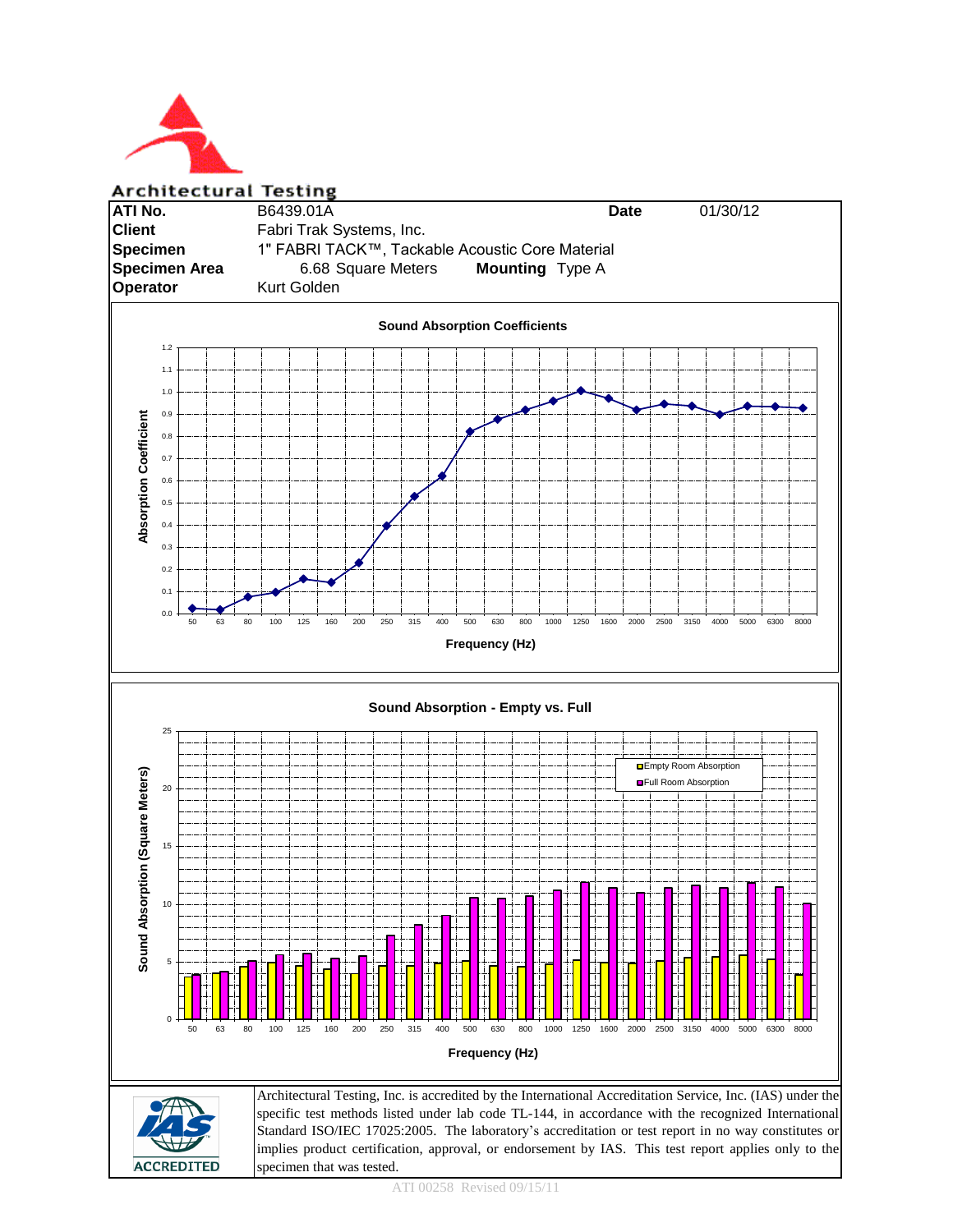

**Architectural Testing**